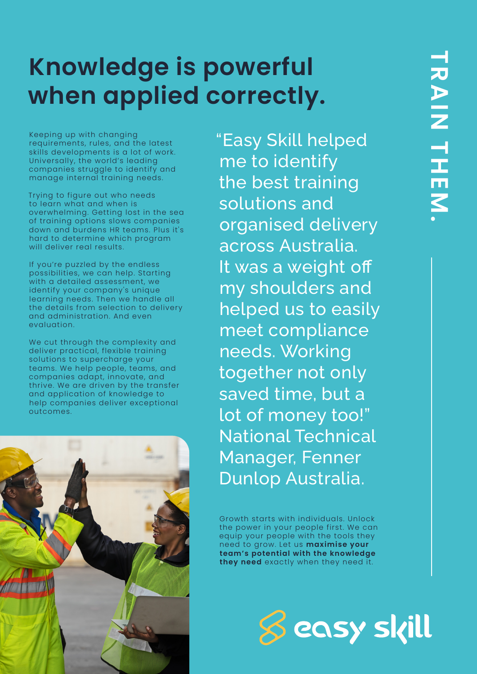# **Knowledge is powerful when applied correctly.**

Keeping up with changing requirements, rules, and the latest skills developments is a lot of work. Universally, the world's leading companies struggle to identify and manage internal training needs.

Trying to figure out who needs to learn what and when is overwhelming. Getting lost in the sea of training options slows companies down and burdens HR teams. Plus it's hard to determine which program will deliver real results.

If you're puzzled by the endless possibilities, we can help. Starting with a detailed assessment, we identify your company's unique learning needs. Then we handle all the details from selection to delivery and administration. And even evaluation.

We cut through the complexity and deliver practical, flexible training solutions to supercharge your teams. We help people, teams, and companies adapt, innovate, and thrive. We are driven by the transfer and application of knowledge to help companies deliver exceptional outcomes.



"Easy Skill helped me to identify the best training solutions and organised delivery across Australia. It was a weight off my shoulders and helped us to easily meet compliance needs. Working together not only saved time, but a lot of money too!" National Technical Manager, Fenner Dunlop Australia.

Growth starts with individuals. Unlock the power in your people first. We can equip your people with the tools they need to grow. Let us **maximise your team's potential with the knowledge they need** exactly when they need it.